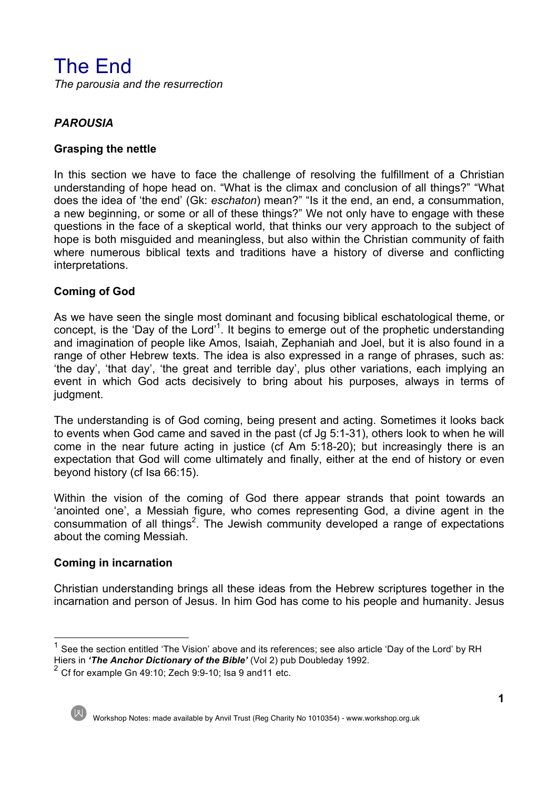# The End *The parousia and the resurrection*

# *PAROUSIA*

#### **Grasping the nettle**

In this section we have to face the challenge of resolving the fulfillment of a Christian understanding of hope head on. "What is the climax and conclusion of all things?" "What does the idea of 'the end' (Gk: *eschaton*) mean?" "Is it the end, an end, a consummation, a new beginning, or some or all of these things?" We not only have to engage with these questions in the face of a skeptical world, that thinks our very approach to the subject of hope is both misguided and meaningless, but also within the Christian community of faith where numerous biblical texts and traditions have a history of diverse and conflicting interpretations.

# **Coming of God**

As we have seen the single most dominant and focusing biblical eschatological theme, or concept, is the 'Day of the Lord'<sup>1</sup>. It begins to emerge out of the prophetic understanding and imagination of people like Amos, Isaiah, Zephaniah and Joel, but it is also found in a range of other Hebrew texts. The idea is also expressed in a range of phrases, such as: 'the day', 'that day', 'the great and terrible day', plus other variations, each implying an event in which God acts decisively to bring about his purposes, always in terms of judgment.

The understanding is of God coming, being present and acting. Sometimes it looks back to events when God came and saved in the past (cf Jg 5:1-31), others look to when he will come in the near future acting in justice (cf Am 5:18-20); but increasingly there is an expectation that God will come ultimately and finally, either at the end of history or even beyond history (cf Isa 66:15).

Within the vision of the coming of God there appear strands that point towards an 'anointed one', a Messiah figure, who comes representing God, a divine agent in the  $\cos$  consummation of all things<sup>2</sup>. The Jewish community developed a range of expectations about the coming Messiah.

# **Coming in incarnation**

Christian understanding brings all these ideas from the Hebrew scriptures together in the incarnation and person of Jesus. In him God has come to his people and humanity. Jesus

 $2$  Cf for example Gn 49:10; Zech 9:9-10; Isa 9 and 11 etc.



Workshop Notes: made available by Anvil Trust (Reg Charity No 1010354) - www.workshop.org.uk

See the section entitled 'The Vision' above and its references; see also article 'Day of the Lord' by RH Hiers in *'The Anchor Dictionary of the Bible'* (Vol 2) pub Doubleday 1992.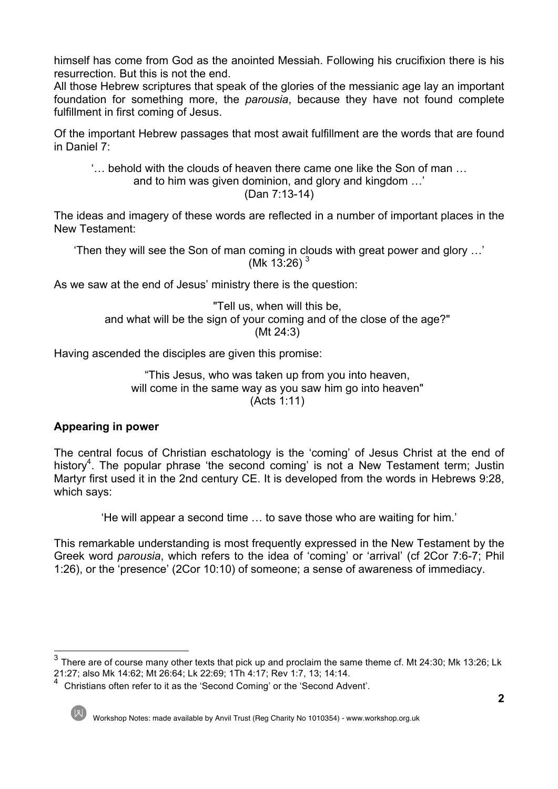himself has come from God as the anointed Messiah. Following his crucifixion there is his resurrection. But this is not the end.

All those Hebrew scriptures that speak of the glories of the messianic age lay an important foundation for something more, the *parousia*, because they have not found complete fulfillment in first coming of Jesus.

Of the important Hebrew passages that most await fulfillment are the words that are found in Daniel 7:

'… behold with the clouds of heaven there came one like the Son of man … and to him was given dominion, and glory and kingdom …' (Dan 7:13-14)

The ideas and imagery of these words are reflected in a number of important places in the New Testament:

'Then they will see the Son of man coming in clouds with great power and glory …' (Mk 13:26)<sup>3</sup>

As we saw at the end of Jesus' ministry there is the question:

"Tell us, when will this be, and what will be the sign of your coming and of the close of the age?" (Mt 24:3)

Having ascended the disciples are given this promise:

"This Jesus, who was taken up from you into heaven, will come in the same way as you saw him go into heaven" (Acts 1:11)

# **Appearing in power**

The central focus of Christian eschatology is the 'coming' of Jesus Christ at the end of history<sup>4</sup>. The popular phrase 'the second coming' is not a New Testament term; Justin Martyr first used it in the 2nd century CE. It is developed from the words in Hebrews 9:28, which says:

'He will appear a second time … to save those who are waiting for him.'

This remarkable understanding is most frequently expressed in the New Testament by the Greek word *parousia*, which refers to the idea of 'coming' or 'arrival' (cf 2Cor 7:6-7; Phil 1:26), or the 'presence' (2Cor 10:10) of someone; a sense of awareness of immediacy.

 $3$  There are of course many other texts that pick up and proclaim the same theme cf. Mt 24:30; Mk 13:26; Lk 21:27; also Mk 14:62; Mt 26:64; Lk 22:69; 1Th 4:17; Rev 1:7, 13; 14:14.

<sup>&</sup>lt;sup>4</sup> Christians often refer to it as the 'Second Coming' or the 'Second Advent'.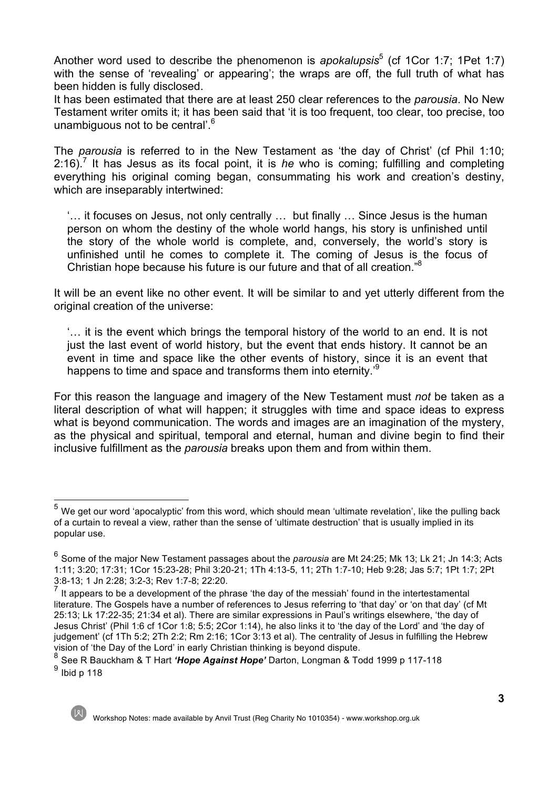Another word used to describe the phenomenon is *apokalupsis*<sup>5</sup> (cf 1Cor 1:7; 1Pet 1:7) with the sense of 'revealing' or appearing'; the wraps are off, the full truth of what has been hidden is fully disclosed.

It has been estimated that there are at least 250 clear references to the *parousia*. No New Testament writer omits it; it has been said that 'it is too frequent, too clear, too precise, too unambiguous not to be central<sup>'.6</sup>

The *parousia* is referred to in the New Testament as 'the day of Christ' (cf Phil 1:10; 2:16).<sup>7</sup> It has Jesus as its focal point, it is *he* who is coming; fulfilling and completing everything his original coming began, consummating his work and creation's destiny, which are inseparably intertwined:

'… it focuses on Jesus, not only centrally … but finally … Since Jesus is the human person on whom the destiny of the whole world hangs, his story is unfinished until the story of the whole world is complete, and, conversely, the world's story is unfinished until he comes to complete it. The coming of Jesus is the focus of Christian hope because his future is our future and that of all creation."8

It will be an event like no other event. It will be similar to and yet utterly different from the original creation of the universe:

'… it is the event which brings the temporal history of the world to an end. It is not just the last event of world history, but the event that ends history. It cannot be an event in time and space like the other events of history, since it is an event that happens to time and space and transforms them into eternity.<sup>'9</sup>

For this reason the language and imagery of the New Testament must *not* be taken as a literal description of what will happen; it struggles with time and space ideas to express what is beyond communication. The words and images are an imagination of the mystery, as the physical and spiritual, temporal and eternal, human and divine begin to find their inclusive fulfillment as the *parousia* breaks upon them and from within them.

<sup>8</sup> See R Bauckham & T Hart *'Hope Against Hope'* Darton, Longman & Todd 1999 p 117-118  $9$  Ibid p 118



 $5$  We get our word 'apocalyptic' from this word, which should mean 'ultimate revelation', like the pulling back of a curtain to reveal a view, rather than the sense of 'ultimate destruction' that is usually implied in its popular use.

<sup>6</sup> Some of the major New Testament passages about the *parousia* are Mt 24:25; Mk 13; Lk 21; Jn 14:3; Acts 1:11; 3:20; 17:31; 1Cor 15:23-28; Phil 3:20-21; 1Th 4:13-5, 11; 2Th 1:7-10; Heb 9:28; Jas 5:7; 1Pt 1:7; 2Pt 3:8-13; 1 Jn 2:28; 3:2-3; Rev 1:7-8; 22:20.

 $7$  It appears to be a development of the phrase 'the day of the messiah' found in the intertestamental literature. The Gospels have a number of references to Jesus referring to 'that day' or 'on that day' (cf Mt 25:13; Lk 17:22-35; 21:34 et al). There are similar expressions in Paul's writings elsewhere, 'the day of Jesus Christ' (Phil 1:6 cf 1Cor 1:8; 5:5; 2Cor 1:14), he also links it to 'the day of the Lord' and 'the day of judgement' (cf 1Th 5:2; 2Th 2:2; Rm 2:16; 1Cor 3:13 et al). The centrality of Jesus in fulfilling the Hebrew vision of 'the Day of the Lord' in early Christian thinking is beyond dispute.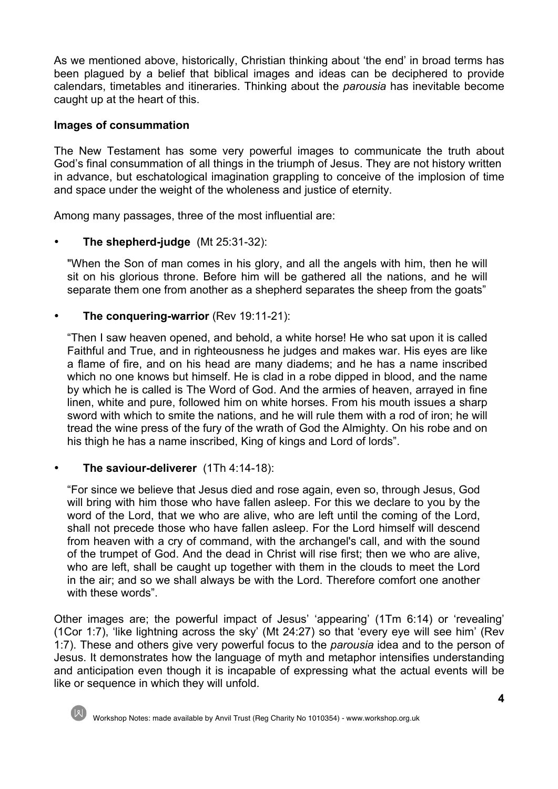As we mentioned above, historically, Christian thinking about 'the end' in broad terms has been plagued by a belief that biblical images and ideas can be deciphered to provide calendars, timetables and itineraries. Thinking about the *parousia* has inevitable become caught up at the heart of this.

#### **Images of consummation**

The New Testament has some very powerful images to communicate the truth about God's final consummation of all things in the triumph of Jesus. They are not history written in advance, but eschatological imagination grappling to conceive of the implosion of time and space under the weight of the wholeness and justice of eternity.

Among many passages, three of the most influential are:

# • **The shepherd-judge** (Mt 25:31-32):

"When the Son of man comes in his glory, and all the angels with him, then he will sit on his glorious throne. Before him will be gathered all the nations, and he will separate them one from another as a shepherd separates the sheep from the goats"

#### • **The conquering-warrior** (Rev 19:11-21):

"Then I saw heaven opened, and behold, a white horse! He who sat upon it is called Faithful and True, and in righteousness he judges and makes war. His eyes are like a flame of fire, and on his head are many diadems; and he has a name inscribed which no one knows but himself. He is clad in a robe dipped in blood, and the name by which he is called is The Word of God. And the armies of heaven, arrayed in fine linen, white and pure, followed him on white horses. From his mouth issues a sharp sword with which to smite the nations, and he will rule them with a rod of iron; he will tread the wine press of the fury of the wrath of God the Almighty. On his robe and on his thigh he has a name inscribed, King of kings and Lord of lords".

# • **The saviour-deliverer** (1Th 4:14-18):

"For since we believe that Jesus died and rose again, even so, through Jesus, God will bring with him those who have fallen asleep. For this we declare to you by the word of the Lord, that we who are alive, who are left until the coming of the Lord, shall not precede those who have fallen asleep. For the Lord himself will descend from heaven with a cry of command, with the archangel's call, and with the sound of the trumpet of God. And the dead in Christ will rise first; then we who are alive, who are left, shall be caught up together with them in the clouds to meet the Lord in the air; and so we shall always be with the Lord. Therefore comfort one another with these words".

Other images are; the powerful impact of Jesus' 'appearing' (1Tm 6:14) or 'revealing' (1Cor 1:7), 'like lightning across the sky' (Mt 24:27) so that 'every eye will see him' (Rev 1:7). These and others give very powerful focus to the *parousia* idea and to the person of Jesus. It demonstrates how the language of myth and metaphor intensifies understanding and anticipation even though it is incapable of expressing what the actual events will be like or sequence in which they will unfold.

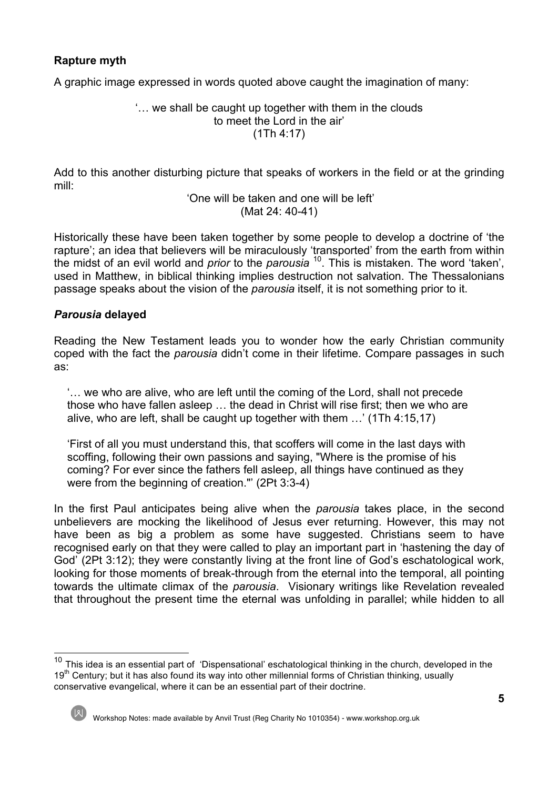# **Rapture myth**

A graphic image expressed in words quoted above caught the imagination of many:

'… we shall be caught up together with them in the clouds to meet the Lord in the air' (1Th 4:17)

Add to this another disturbing picture that speaks of workers in the field or at the grinding mill:

'One will be taken and one will be left' (Mat 24: 40-41)

Historically these have been taken together by some people to develop a doctrine of 'the rapture'; an idea that believers will be miraculously 'transported' from the earth from within the midst of an evil world and *prior* to the *parousia* 10. This is mistaken. The word 'taken', used in Matthew, in biblical thinking implies destruction not salvation. The Thessalonians passage speaks about the vision of the *parousia* itself, it is not something prior to it.

# *Parousia* **delayed**

Reading the New Testament leads you to wonder how the early Christian community coped with the fact the *parousia* didn't come in their lifetime. Compare passages in such as:

'… we who are alive, who are left until the coming of the Lord, shall not precede those who have fallen asleep … the dead in Christ will rise first; then we who are alive, who are left, shall be caught up together with them …' (1Th 4:15,17)

'First of all you must understand this, that scoffers will come in the last days with scoffing, following their own passions and saying, "Where is the promise of his coming? For ever since the fathers fell asleep, all things have continued as they were from the beginning of creation."' (2Pt 3:3-4)

In the first Paul anticipates being alive when the *parousia* takes place, in the second unbelievers are mocking the likelihood of Jesus ever returning. However, this may not have been as big a problem as some have suggested. Christians seem to have recognised early on that they were called to play an important part in 'hastening the day of God' (2Pt 3:12); they were constantly living at the front line of God's eschatological work, looking for those moments of break-through from the eternal into the temporal, all pointing towards the ultimate climax of the *parousia*. Visionary writings like Revelation revealed that throughout the present time the eternal was unfolding in parallel; while hidden to all

 $10$  This idea is an essential part of 'Dispensational' eschatological thinking in the church, developed in the 19<sup>th</sup> Century; but it has also found its way into other millennial forms of Christian thinking, usually conservative evangelical, where it can be an essential part of their doctrine.



Workshop Notes: made available by Anvil Trust (Reg Charity No 1010354) - www.workshop.org.uk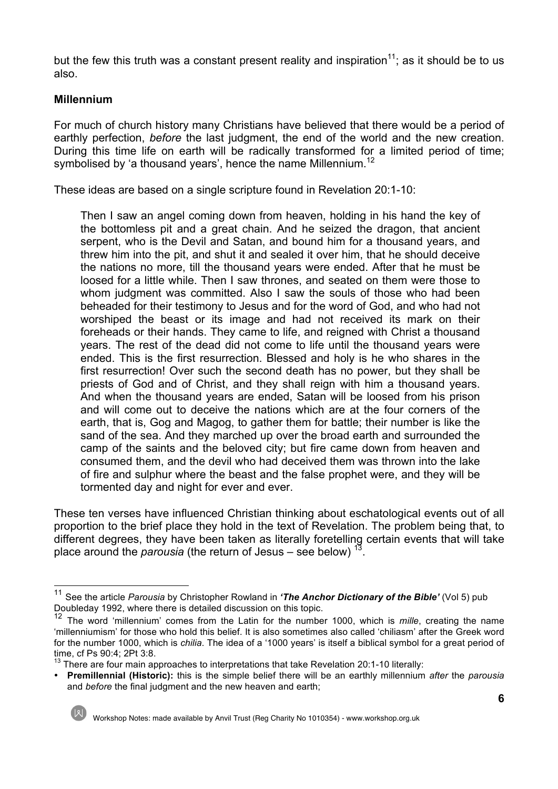but the few this truth was a constant present reality and inspiration<sup>11</sup>; as it should be to us also.

#### **Millennium**

For much of church history many Christians have believed that there would be a period of earthly perfection, *before* the last judgment, the end of the world and the new creation. During this time life on earth will be radically transformed for a limited period of time; symbolised by 'a thousand years', hence the name Millennium.<sup>12</sup>

These ideas are based on a single scripture found in Revelation 20:1-10:

Then I saw an angel coming down from heaven, holding in his hand the key of the bottomless pit and a great chain. And he seized the dragon, that ancient serpent, who is the Devil and Satan, and bound him for a thousand years, and threw him into the pit, and shut it and sealed it over him, that he should deceive the nations no more, till the thousand years were ended. After that he must be loosed for a little while. Then I saw thrones, and seated on them were those to whom judgment was committed. Also I saw the souls of those who had been beheaded for their testimony to Jesus and for the word of God, and who had not worshiped the beast or its image and had not received its mark on their foreheads or their hands. They came to life, and reigned with Christ a thousand years. The rest of the dead did not come to life until the thousand years were ended. This is the first resurrection. Blessed and holy is he who shares in the first resurrection! Over such the second death has no power, but they shall be priests of God and of Christ, and they shall reign with him a thousand years. And when the thousand years are ended, Satan will be loosed from his prison and will come out to deceive the nations which are at the four corners of the earth, that is, Gog and Magog, to gather them for battle; their number is like the sand of the sea. And they marched up over the broad earth and surrounded the camp of the saints and the beloved city; but fire came down from heaven and consumed them, and the devil who had deceived them was thrown into the lake of fire and sulphur where the beast and the false prophet were, and they will be tormented day and night for ever and ever.

These ten verses have influenced Christian thinking about eschatological events out of all proportion to the brief place they hold in the text of Revelation. The problem being that, to different degrees, they have been taken as literally foretelling certain events that will take place around the *parousia* (the return of Jesus – see below) 13.

<sup>11</sup> See the article *Parousia* by Christopher Rowland in *'The Anchor Dictionary of the Bible'* (Vol 5) pub Doubleday 1992, where there is detailed discussion on this topic.

<sup>12</sup> The word 'millennium' comes from the Latin for the number 1000, which is *mille*, creating the name 'millenniumism' for those who hold this belief. It is also sometimes also called 'chiliasm' after the Greek word for the number 1000, which is *chilia*. The idea of a '1000 years' is itself a biblical symbol for a great period of time, cf Ps 90:4; 2Pt 3:8.

There are four main approaches to interpretations that take Revelation 20:1-10 literally:

<sup>•</sup> **Premillennial (Historic):** this is the simple belief there will be an earthly millennium *after* the *parousia* and *before* the final judgment and the new heaven and earth;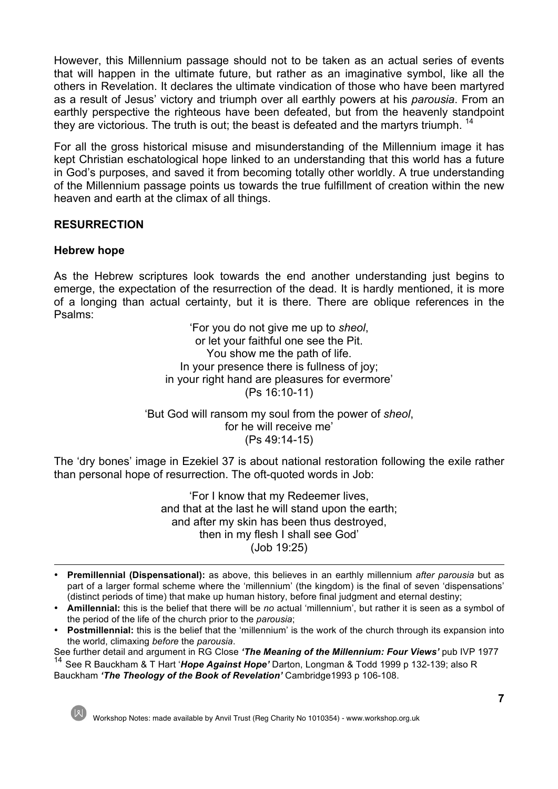However, this Millennium passage should not to be taken as an actual series of events that will happen in the ultimate future, but rather as an imaginative symbol, like all the others in Revelation. It declares the ultimate vindication of those who have been martyred as a result of Jesus' victory and triumph over all earthly powers at his *parousia*. From an earthly perspective the righteous have been defeated, but from the heavenly standpoint they are victorious. The truth is out; the beast is defeated and the martyrs triumph. <sup>14</sup>

For all the gross historical misuse and misunderstanding of the Millennium image it has kept Christian eschatological hope linked to an understanding that this world has a future in God's purposes, and saved it from becoming totally other worldly. A true understanding of the Millennium passage points us towards the true fulfillment of creation within the new heaven and earth at the climax of all things.

# **RESURRECTION**

#### **Hebrew hope**

l

As the Hebrew scriptures look towards the end another understanding just begins to emerge, the expectation of the resurrection of the dead. It is hardly mentioned, it is more of a longing than actual certainty, but it is there. There are oblique references in the Psalms:

> 'For you do not give me up to *sheol*, or let your faithful one see the Pit. You show me the path of life. In your presence there is fullness of joy; in your right hand are pleasures for evermore' (Ps 16:10-11)

'But God will ransom my soul from the power of *sheol*, for he will receive me' (Ps 49:14-15)

The 'dry bones' image in Ezekiel 37 is about national restoration following the exile rather than personal hope of resurrection. The oft-quoted words in Job:

> 'For I know that my Redeemer lives, and that at the last he will stand upon the earth; and after my skin has been thus destroyed, then in my flesh I shall see God' (Job 19:25)

- **Premillennial (Dispensational):** as above, this believes in an earthly millennium *after parousia* but as part of a larger formal scheme where the 'millennium' (the kingdom) is the final of seven 'dispensations' (distinct periods of time) that make up human history, before final judgment and eternal destiny;
- **Amillennial:** this is the belief that there will be *no* actual 'millennium', but rather it is seen as a symbol of the period of the life of the church prior to the *parousia*;
- **Postmillennial:** this is the belief that the 'millennium' is the work of the church through its expansion into the world, climaxing *before* the *parousia*.

See further detail and argument in RG Close *'The Meaning of the Millennium: Four Views'* pub IVP 1977 <sup>14</sup> See R Bauckham & T Hart '*Hope Against Hope'* Darton, Longman & Todd 1999 p 132-139; also R Bauckham *'The Theology of the Book of Revelation'* Cambridge1993 p 106-108.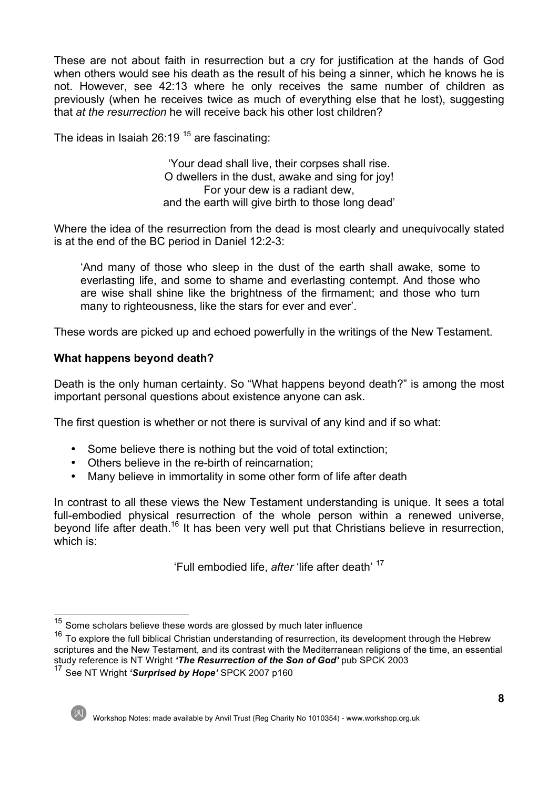These are not about faith in resurrection but a cry for justification at the hands of God when others would see his death as the result of his being a sinner, which he knows he is not. However, see 42:13 where he only receives the same number of children as previously (when he receives twice as much of everything else that he lost), suggesting that *at the resurrection* he will receive back his other lost children?

The ideas in Isaiah  $26:19<sup>15</sup>$  are fascinating:

'Your dead shall live, their corpses shall rise. O dwellers in the dust, awake and sing for joy! For your dew is a radiant dew, and the earth will give birth to those long dead'

Where the idea of the resurrection from the dead is most clearly and unequivocally stated is at the end of the BC period in Daniel 12:2-3:

'And many of those who sleep in the dust of the earth shall awake, some to everlasting life, and some to shame and everlasting contempt. And those who are wise shall shine like the brightness of the firmament; and those who turn many to righteousness, like the stars for ever and ever'.

These words are picked up and echoed powerfully in the writings of the New Testament.

# **What happens beyond death?**

Death is the only human certainty. So "What happens beyond death?" is among the most important personal questions about existence anyone can ask.

The first question is whether or not there is survival of any kind and if so what:

- Some believe there is nothing but the void of total extinction;
- Others believe in the re-birth of reincarnation;
- Many believe in immortality in some other form of life after death

In contrast to all these views the New Testament understanding is unique. It sees a total full-embodied physical resurrection of the whole person within a renewed universe, beyond life after death.<sup>16</sup> It has been very well put that Christians believe in resurrection, which is:

'Full embodied life, *after* 'life after death' <sup>17</sup>

 $15$  Some scholars believe these words are glossed by much later influence

<sup>&</sup>lt;sup>16</sup> To explore the full biblical Christian understanding of resurrection, its development through the Hebrew scriptures and the New Testament, and its contrast with the Mediterranean religions of the time, an essential study reference is NT Wright *'The Resurrection of the Son of God'* pub SPCK 2003

<sup>17</sup> See NT Wright *'Surprised by Hope'* SPCK 2007 p160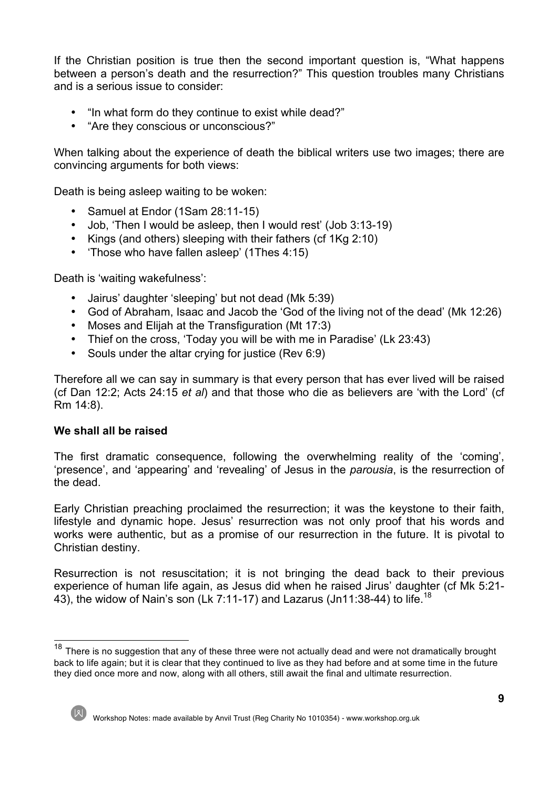If the Christian position is true then the second important question is, "What happens between a person's death and the resurrection?" This question troubles many Christians and is a serious issue to consider:

- "In what form do they continue to exist while dead?"
- "Are they conscious or unconscious?"

When talking about the experience of death the biblical writers use two images; there are convincing arguments for both views:

Death is being asleep waiting to be woken:

- Samuel at Endor (1Sam 28:11-15)
- Job, 'Then I would be asleep, then I would rest' (Job 3:13-19)
- Kings (and others) sleeping with their fathers (cf 1Kg 2:10)
- 'Those who have fallen asleep' (1Thes 4:15)

Death is 'waiting wakefulness':

- Jairus' daughter 'sleeping' but not dead (Mk 5:39)
- God of Abraham, Isaac and Jacob the 'God of the living not of the dead' (Mk 12:26)
- Moses and Elijah at the Transfiguration (Mt 17:3)
- Thief on the cross, 'Today you will be with me in Paradise' (Lk 23:43)
- Souls under the altar crying for justice (Rev 6:9)

Therefore all we can say in summary is that every person that has ever lived will be raised (cf Dan 12:2; Acts 24:15 *et al*) and that those who die as believers are 'with the Lord' (cf Rm 14:8).

# **We shall all be raised**

The first dramatic consequence, following the overwhelming reality of the 'coming', 'presence', and 'appearing' and 'revealing' of Jesus in the *parousia*, is the resurrection of the dead.

Early Christian preaching proclaimed the resurrection; it was the keystone to their faith, lifestyle and dynamic hope. Jesus' resurrection was not only proof that his words and works were authentic, but as a promise of our resurrection in the future. It is pivotal to Christian destiny.

Resurrection is not resuscitation; it is not bringing the dead back to their previous experience of human life again, as Jesus did when he raised Jirus' daughter (cf Mk 5:21- 43), the widow of Nain's son (Lk 7:11-17) and Lazarus (Jn11:38-44) to life.<sup>18</sup>

 $18$  There is no suggestion that any of these three were not actually dead and were not dramatically brought back to life again; but it is clear that they continued to live as they had before and at some time in the future they died once more and now, along with all others, still await the final and ultimate resurrection.



Workshop Notes: made available by Anvil Trust (Reg Charity No 1010354) - www.workshop.org.uk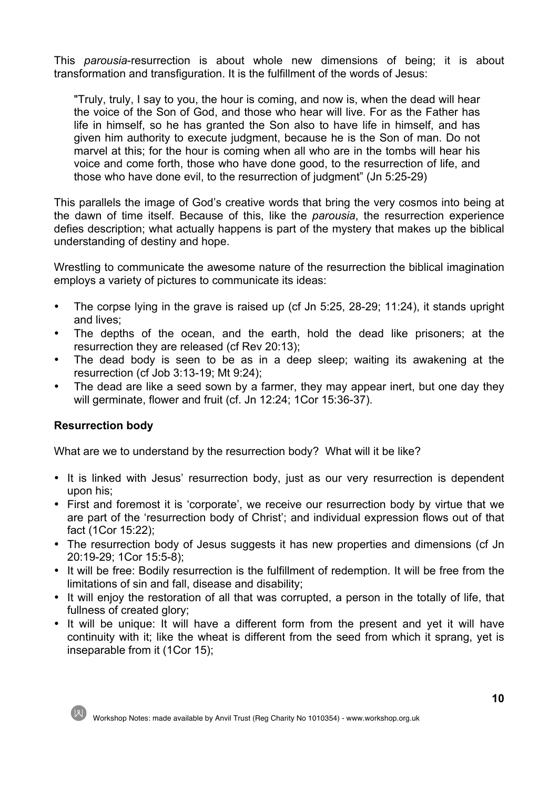This *parousia*-resurrection is about whole new dimensions of being; it is about transformation and transfiguration. It is the fulfillment of the words of Jesus:

"Truly, truly, I say to you, the hour is coming, and now is, when the dead will hear the voice of the Son of God, and those who hear will live. For as the Father has life in himself, so he has granted the Son also to have life in himself, and has given him authority to execute judgment, because he is the Son of man. Do not marvel at this; for the hour is coming when all who are in the tombs will hear his voice and come forth, those who have done good, to the resurrection of life, and those who have done evil, to the resurrection of judgment" (Jn 5:25-29)

This parallels the image of God's creative words that bring the very cosmos into being at the dawn of time itself. Because of this, like the *parousia*, the resurrection experience defies description; what actually happens is part of the mystery that makes up the biblical understanding of destiny and hope.

Wrestling to communicate the awesome nature of the resurrection the biblical imagination employs a variety of pictures to communicate its ideas:

- The corpse lying in the grave is raised up (cf Jn 5:25, 28-29: 11:24), it stands upright and lives;
- The depths of the ocean, and the earth, hold the dead like prisoners; at the resurrection they are released (cf Rev 20:13);
- The dead body is seen to be as in a deep sleep; waiting its awakening at the resurrection (cf Job 3:13-19; Mt 9:24);
- The dead are like a seed sown by a farmer, they may appear inert, but one day they will germinate, flower and fruit (cf. Jn 12:24; 1Cor 15:36-37).

# **Resurrection body**

What are we to understand by the resurrection body? What will it be like?

- It is linked with Jesus' resurrection body, just as our very resurrection is dependent upon his;
- First and foremost it is 'corporate', we receive our resurrection body by virtue that we are part of the 'resurrection body of Christ'; and individual expression flows out of that fact (1Cor 15:22);
- The resurrection body of Jesus suggests it has new properties and dimensions (cf Jn 20:19-29; 1Cor 15:5-8);
- It will be free: Bodily resurrection is the fulfillment of redemption. It will be free from the limitations of sin and fall, disease and disability;
- It will enjoy the restoration of all that was corrupted, a person in the totally of life, that fullness of created glory;
- It will be unique: It will have a different form from the present and yet it will have continuity with it; like the wheat is different from the seed from which it sprang, yet is inseparable from it (1Cor 15);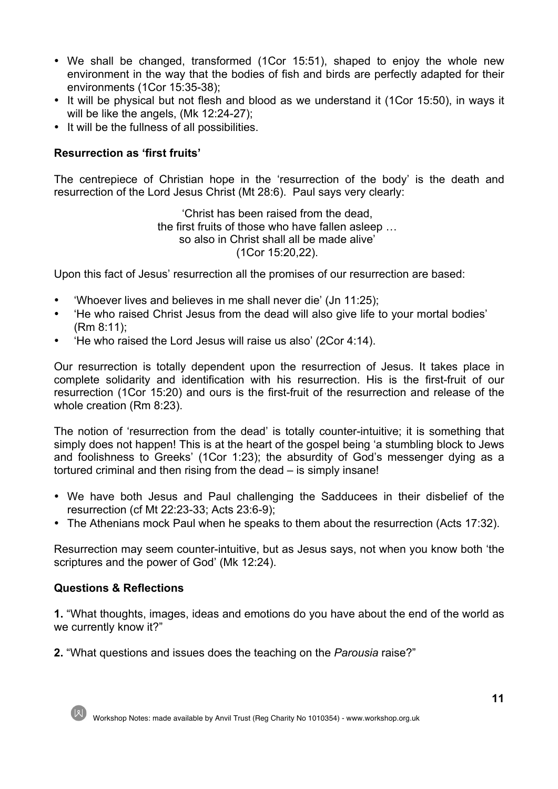- We shall be changed, transformed (1Cor 15:51), shaped to enjoy the whole new environment in the way that the bodies of fish and birds are perfectly adapted for their environments (1Cor 15:35-38);
- It will be physical but not flesh and blood as we understand it (1Cor 15:50), in ways it will be like the angels, (Mk 12:24-27);
- It will be the fullness of all possibilities.

#### **Resurrection as 'first fruits'**

The centrepiece of Christian hope in the 'resurrection of the body' is the death and resurrection of the Lord Jesus Christ (Mt 28:6). Paul says very clearly:

> 'Christ has been raised from the dead, the first fruits of those who have fallen asleep … so also in Christ shall all be made alive' (1Cor 15:20,22).

Upon this fact of Jesus' resurrection all the promises of our resurrection are based:

- 'Whoever lives and believes in me shall never die' (Jn 11:25);
- 'He who raised Christ Jesus from the dead will also give life to your mortal bodies' (Rm 8:11);
- 'He who raised the Lord Jesus will raise us also' (2Cor 4:14).

Our resurrection is totally dependent upon the resurrection of Jesus. It takes place in complete solidarity and identification with his resurrection. His is the first-fruit of our resurrection (1Cor 15:20) and ours is the first-fruit of the resurrection and release of the whole creation (Rm 8:23).

The notion of 'resurrection from the dead' is totally counter-intuitive; it is something that simply does not happen! This is at the heart of the gospel being 'a stumbling block to Jews and foolishness to Greeks' (1Cor 1:23); the absurdity of God's messenger dying as a tortured criminal and then rising from the dead – is simply insane!

- We have both Jesus and Paul challenging the Sadducees in their disbelief of the resurrection (cf Mt 22:23-33; Acts 23:6-9);
- The Athenians mock Paul when he speaks to them about the resurrection (Acts 17:32).

Resurrection may seem counter-intuitive, but as Jesus says, not when you know both 'the scriptures and the power of God' (Mk 12:24).

#### **Questions & Reflections**

**1.** "What thoughts, images, ideas and emotions do you have about the end of the world as we currently know it?"

**2.** "What questions and issues does the teaching on the *Parousia* raise?"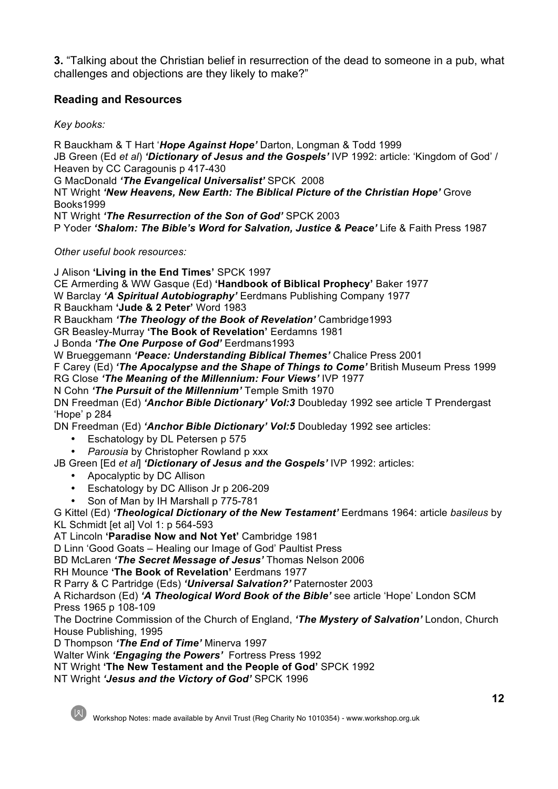**3.** "Talking about the Christian belief in resurrection of the dead to someone in a pub, what challenges and objections are they likely to make?"

#### **Reading and Resources**

*Key books:*

R Bauckham & T Hart '*Hope Against Hope'* Darton, Longman & Todd 1999 JB Green (Ed *et al*) *'Dictionary of Jesus and the Gospels'* IVP 1992: article: 'Kingdom of God' / Heaven by CC Caragounis p 417-430 G MacDonald *'The Evangelical Universalist'* SPCK 2008 NT Wright *'New Heavens, New Earth: The Biblical Picture of the Christian Hope'* Grove Books1999 NT Wright *'The Resurrection of the Son of God'* SPCK 2003

P Yoder *'Shalom: The Bible's Word for Salvation, Justice & Peace'* Life & Faith Press 1987

*Other useful book resources:*

J Alison **'Living in the End Times'** SPCK 1997 CE Armerding & WW Gasque (Ed) **'Handbook of Biblical Prophecy'** Baker 1977

W Barclay *'A Spiritual Autobiography'* Eerdmans Publishing Company 1977

R Bauckham **'Jude & 2 Peter'** Word 1983

R Bauckham *'The Theology of the Book of Revelation'* Cambridge1993

GR Beasley-Murray **'The Book of Revelation'** Eerdamns 1981

J Bonda *'The One Purpose of God'* Eerdmans1993

W Brueggemann *'Peace: Understanding Biblical Themes'* Chalice Press 2001

F Carey (Ed) *'The Apocalypse and the Shape of Things to Come'* British Museum Press 1999 RG Close *'The Meaning of the Millennium: Four Views'* IVP 1977

N Cohn *'The Pursuit of the Millennium'* Temple Smith 1970

DN Freedman (Ed) *'Anchor Bible Dictionary' Vol:3* Doubleday 1992 see article T Prendergast 'Hope' p 284

DN Freedman (Ed) *'Anchor Bible Dictionary' Vol:5* Doubleday 1992 see articles:

- Eschatology by DL Petersen p 575
- *Parousia* by Christopher Rowland p xxx

JB Green [Ed *et al*] *'Dictionary of Jesus and the Gospels'* IVP 1992: articles:

- Apocalyptic by DC Allison
- Eschatology by DC Allison Jr p 206-209
- Son of Man by IH Marshall p 775-781

G Kittel (Ed) *'Theological Dictionary of the New Testament'* Eerdmans 1964: article *basileus* by KL Schmidt [et al] Vol 1: p 564-593

AT Lincoln **'Paradise Now and Not Yet'** Cambridge 1981

D Linn 'Good Goats – Healing our Image of God' Paultist Press

BD McLaren *'The Secret Message of Jesus'* Thomas Nelson 2006

RH Mounce **'The Book of Revelation'** Eerdmans 1977

R Parry & C Partridge (Eds) *'Universal Salvation?'* Paternoster 2003

A Richardson (Ed) *'A Theological Word Book of the Bible'* see article 'Hope' London SCM Press 1965 p 108-109

The Doctrine Commission of the Church of England, *'The Mystery of Salvation'* London, Church House Publishing, 1995

D Thompson *'The End of Time'* Minerva 1997

Walter Wink *'Engaging the Powers'* Fortress Press 1992

NT Wright **'The New Testament and the People of God'** SPCK 1992

NT Wright *'Jesus and the Victory of God'* SPCK 1996